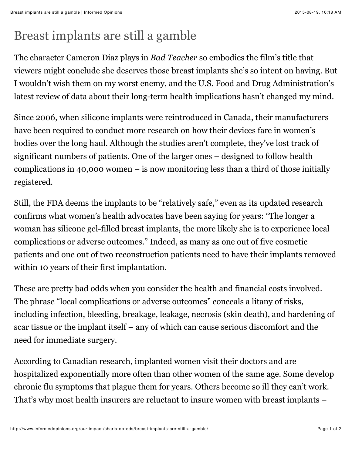## Breast implants are still a gamble

The character Cameron Diaz plays in *Bad Teacher* so embodies the film's title that viewers might conclude she deserves those breast implants she's so intent on having. But I wouldn't wish them on my worst enemy, and the U.S. Food and Drug Administration's latest review of data about their long-term health implications hasn't changed my mind.

Since 2006, when silicone implants were reintroduced in Canada, their manufacturers have been required to conduct more research on how their devices fare in women's bodies over the long haul. Although the studies aren't complete, they've lost track of significant numbers of patients. One of the larger ones – designed to follow health complications in 40,000 women – is now monitoring less than a third of those initially registered.

Still, the FDA deems the implants to be "relatively safe," even as its updated research confirms what women's health advocates have been saying for years: "The longer a woman has silicone gel-filled breast implants, the more likely she is to experience local complications or adverse outcomes." Indeed, as many as one out of five cosmetic patients and one out of two reconstruction patients need to have their implants removed within 10 years of their first implantation.

These are pretty bad odds when you consider the health and financial costs involved. The phrase "local complications or adverse outcomes" conceals a litany of risks, including infection, bleeding, breakage, leakage, necrosis (skin death), and hardening of scar tissue or the implant itself – any of which can cause serious discomfort and the need for immediate surgery.

According to Canadian research, implanted women visit their doctors and are hospitalized exponentially more often than other women of the same age. Some develop chronic flu symptoms that plague them for years. Others become so ill they can't work. That's why most health insurers are reluctant to insure women with breast implants –